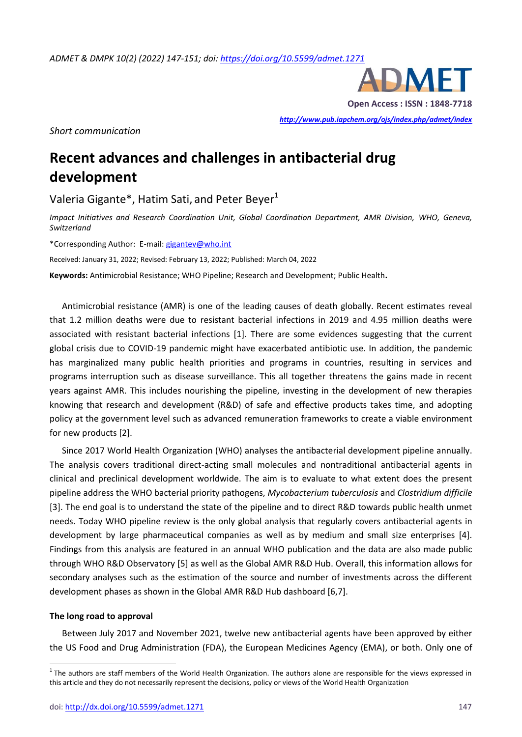

**Open Access : ISSN : 1848-7718**

*<http://www.pub.iapchem.org/ojs/index.php/admet/index>* 

*Short communication*

# **Recent advances and challenges in antibacterial drug development**

Valeria Gigante\*, Hatim Sati, and Peter Beyer $1$ 

*Impact Initiatives and Research Coordination Unit, Global Coordination Department, AMR Division, WHO, Geneva, Switzerland*

\*Corresponding Author: E-mail[: gigantev@who.int](mailto:gigantev@who.int%20n)

Received: January 31, 2022; Revised: February 13, 2022; Published: March 04, 2022

**Keywords:** Antimicrobial Resistance; WHO Pipeline; Research and Development; Public Health**.**

Antimicrobial resistance (AMR) is one of the leading causes of death globally. Recent estimates reveal that 1.2 million deaths were due to resistant bacterial infections in 2019 and 4.95 million deaths were associated with resistant bacterial infections [1]. There are some evidences suggesting that the current global crisis due to COVID-19 pandemic might have exacerbated antibiotic use. In addition, the pandemic has marginalized many public health priorities and programs in countries, resulting in services and programs interruption such as disease surveillance. This all together threatens the gains made in recent years against AMR. This includes nourishing the pipeline, investing in the development of new therapies knowing that research and development (R&D) of safe and effective products takes time, and adopting policy at the government level such as advanced remuneration frameworks to create a viable environment for new products [2].

Since 2017 World Health Organization (WHO) analyses the antibacterial development pipeline annually. The analysis covers traditional direct-acting small molecules and nontraditional antibacterial agents in clinical and preclinical development worldwide. The aim is to evaluate to what extent does the present pipeline address the WHO bacterial priority pathogens, *Mycobacterium tuberculosis* and *Clostridium difficile* [3]. The end goal is to understand the state of the pipeline and to direct R&D towards public health unmet needs. Today WHO pipeline review is the only global analysis that regularly covers antibacterial agents in development by large pharmaceutical companies as well as by medium and small size enterprises [4]. Findings from this analysis are featured in an annual WHO publication and the data are also made public through WHO R&D Observatory [5] as well as the Global AMR R&D Hub. Overall, this information allows for secondary analyses such as the estimation of the source and number of investments across the different development phases as shown in the Global AMR R&D Hub dashboard [6,7].

## **The long road to approval**

 $\overline{a}$ 

Between July 2017 and November 2021, twelve new antibacterial agents have been approved by either the US Food and Drug Administration (FDA), the European Medicines Agency (EMA), or both. Only one of

 $1$ The authors are staff members of the World Health Organization. The authors alone are responsible for the views expressed in this article and they do not necessarily represent the decisions, policy or views of the World Health Organization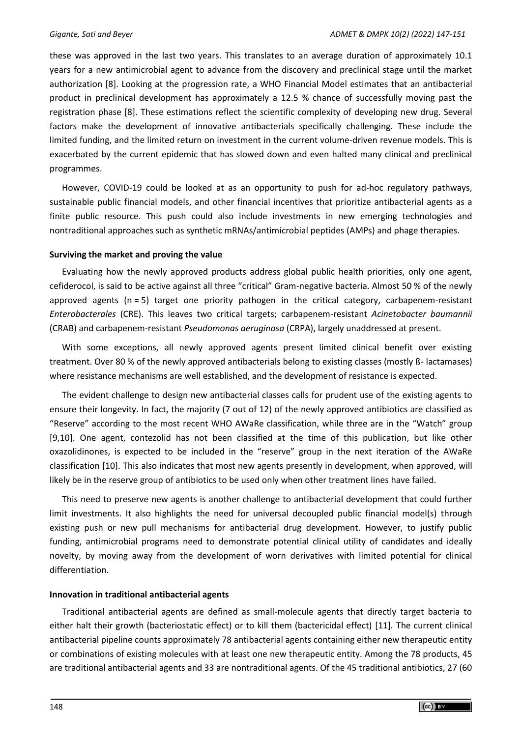these was approved in the last two years. This translates to an average duration of approximately 10.1 years for a new antimicrobial agent to advance from the discovery and preclinical stage until the market authorization [8]. Looking at the progression rate, a WHO Financial Model estimates that an antibacterial product in preclinical development has approximately a 12.5 % chance of successfully moving past the registration phase [8]. These estimations reflect the scientific complexity of developing new drug. Several factors make the development of innovative antibacterials specifically challenging. These include the limited funding, and the limited return on investment in the current volume-driven revenue models. This is exacerbated by the current epidemic that has slowed down and even halted many clinical and preclinical programmes.

However, COVID-19 could be looked at as an opportunity to push for ad-hoc regulatory pathways, sustainable public financial models, and other financial incentives that prioritize antibacterial agents as a finite public resource. This push could also include investments in new emerging technologies and nontraditional approaches such as synthetic mRNAs/antimicrobial peptides (AMPs) and phage therapies.

## **Surviving the market and proving the value**

Evaluating how the newly approved products address global public health priorities, only one agent, cefiderocol, is said to be active against all three "critical" Gram-negative bacteria. Almost 50 % of the newly approved agents (n = 5) target one priority pathogen in the critical category, carbapenem-resistant *Enterobacterales* (CRE). This leaves two critical targets; carbapenem-resistant *Acinetobacter baumannii* (CRAB) and carbapenem-resistant *Pseudomonas aeruginosa* (CRPA), largely unaddressed at present.

With some exceptions, all newly approved agents present limited clinical benefit over existing treatment. Over 80 % of the newly approved antibacterials belong to existing classes (mostly ß- lactamases) where resistance mechanisms are well established, and the development of resistance is expected.

The evident challenge to design new antibacterial classes calls for prudent use of the existing agents to ensure their longevity. In fact, the majority (7 out of 12) of the newly approved antibiotics are classified as "Reserve" according to the most recent WHO AWaRe classification, while three are in the "Watch" group [9,10]. One agent, contezolid has not been classified at the time of this publication, but like other oxazolidinones, is expected to be included in the "reserve" group in the next iteration of the AWaRe classification [10]. This also indicates that most new agents presently in development, when approved, will likely be in the reserve group of antibiotics to be used only when other treatment lines have failed.

This need to preserve new agents is another challenge to antibacterial development that could further limit investments. It also highlights the need for universal decoupled public financial model(s) through existing push or new pull mechanisms for antibacterial drug development. However, to justify public funding, antimicrobial programs need to demonstrate potential clinical utility of candidates and ideally novelty, by moving away from the development of worn derivatives with limited potential for clinical differentiation.

# **Innovation in traditional antibacterial agents**

Traditional antibacterial agents are defined as small-molecule agents that directly target bacteria to either halt their growth (bacteriostatic effect) or to kill them (bactericidal effect) [11]*.* The current clinical antibacterial pipeline counts approximately 78 antibacterial agents containing either new therapeutic entity or combinations of existing molecules with at least one new therapeutic entity. Among the 78 products, 45 are traditional antibacterial agents and 33 are nontraditional agents. Of the 45 traditional antibiotics, 27 (60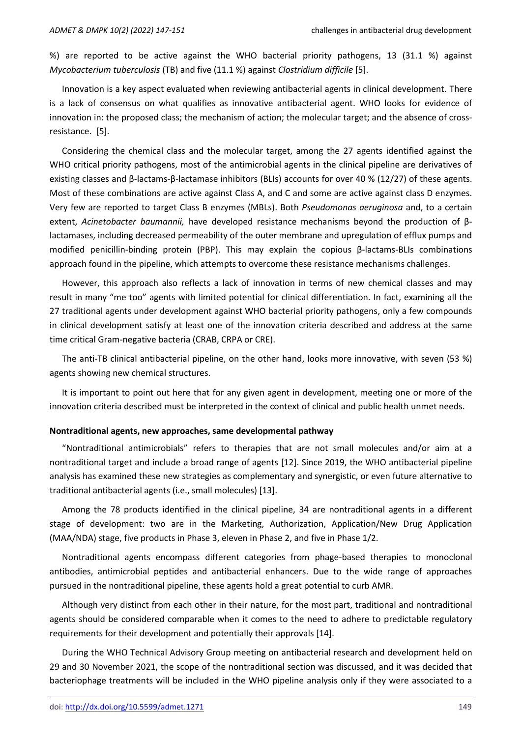%) are reported to be active against the WHO bacterial priority pathogens, 13 (31.1 %) against *Mycobacterium tuberculosis* (TB) and five (11.1 %) against *Clostridium difficile* [5].

Innovation is a key aspect evaluated when reviewing antibacterial agents in clinical development. There is a lack of consensus on what qualifies as innovative antibacterial agent. WHO looks for evidence of innovation in: the proposed class; the mechanism of action; the molecular target; and the absence of crossresistance. [5].

Considering the chemical class and the molecular target, among the 27 agents identified against the WHO critical priority pathogens, most of the antimicrobial agents in the clinical pipeline are derivatives of existing classes and β-lactams-β-lactamase inhibitors (BLIs) accounts for over 40 % (12/27) of these agents. Most of these combinations are active against Class A, and C and some are active against class D enzymes. Very few are reported to target Class B enzymes (MBLs). Both *Pseudomonas aeruginosa* and, to a certain extent, *Acinetobacter baumannii,* have developed resistance mechanisms beyond the production of βlactamases, including decreased permeability of the outer membrane and upregulation of efflux pumps and modified penicillin-binding protein (PBP). This may explain the copious β-lactams-BLIs combinations approach found in the pipeline, which attempts to overcome these resistance mechanisms challenges.

However, this approach also reflects a lack of innovation in terms of new chemical classes and may result in many "me too" agents with limited potential for clinical differentiation. In fact, examining all the 27 traditional agents under development against WHO bacterial priority pathogens, only a few compounds in clinical development satisfy at least one of the innovation criteria described and address at the same time critical Gram-negative bacteria (CRAB, CRPA or CRE).

The anti-TB clinical antibacterial pipeline, on the other hand, looks more innovative, with seven (53 %) agents showing new chemical structures.

It is important to point out here that for any given agent in development, meeting one or more of the innovation criteria described must be interpreted in the context of clinical and public health unmet needs.

#### **Nontraditional agents, new approaches, same developmental pathway**

"Nontraditional antimicrobials" refers to therapies that are not small molecules and/or aim at a nontraditional target and include a broad range of agents [12]. Since 2019, the WHO antibacterial pipeline analysis has examined these new strategies as complementary and synergistic, or even future alternative to traditional antibacterial agents (i.e., small molecules) [13].

Among the 78 products identified in the clinical pipeline, 34 are nontraditional agents in a different stage of development: two are in the Marketing, Authorization, Application/New Drug Application (MAA/NDA) stage, five products in Phase 3, eleven in Phase 2, and five in Phase 1/2.

Nontraditional agents encompass different categories from phage-based therapies to monoclonal antibodies, antimicrobial peptides and antibacterial enhancers. Due to the wide range of approaches pursued in the nontraditional pipeline, these agents hold a great potential to curb AMR.

Although very distinct from each other in their nature, for the most part, traditional and nontraditional agents should be considered comparable when it comes to the need to adhere to predictable regulatory requirements for their development and potentially their approvals [14].

During the WHO Technical Advisory Group meeting on antibacterial research and development held on 29 and 30 November 2021, the scope of the nontraditional section was discussed, and it was decided that bacteriophage treatments will be included in the WHO pipeline analysis only if they were associated to a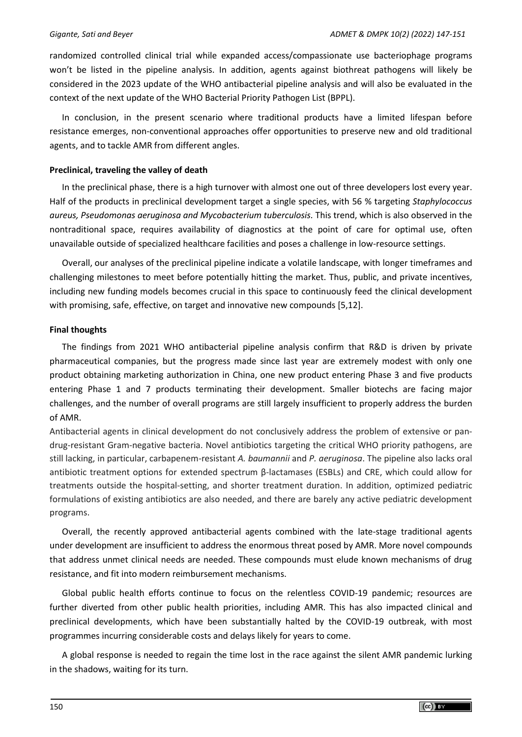randomized controlled clinical trial while expanded access/compassionate use bacteriophage programs won't be listed in the pipeline analysis. In addition, agents against biothreat pathogens will likely be considered in the 2023 update of the WHO antibacterial pipeline analysis and will also be evaluated in the context of the next update of the WHO Bacterial Priority Pathogen List (BPPL).

In conclusion, in the present scenario where traditional products have a limited lifespan before resistance emerges, non-conventional approaches offer opportunities to preserve new and old traditional agents, and to tackle AMR from different angles.

## **Preclinical, traveling the valley of death**

In the preclinical phase, there is a high turnover with almost one out of three developers lost every year. Half of the products in preclinical development target a single species, with 56 % targeting *Staphylococcus aureus, Pseudomonas aeruginosa and Mycobacterium tuberculosis.* This trend, which is also observed in the nontraditional space, requires availability of diagnostics at the point of care for optimal use, often unavailable outside of specialized healthcare facilities and poses a challenge in low-resource settings.

Overall, our analyses of the preclinical pipeline indicate a volatile landscape, with longer timeframes and challenging milestones to meet before potentially hitting the market. Thus, public, and private incentives, including new funding models becomes crucial in this space to continuously feed the clinical development with promising, safe, effective, on target and innovative new compounds [5,12].

## **Final thoughts**

The findings from 2021 WHO antibacterial pipeline analysis confirm that R&D is driven by private pharmaceutical companies, but the progress made since last year are extremely modest with only one product obtaining marketing authorization in China, one new product entering Phase 3 and five products entering Phase 1 and 7 products terminating their development. Smaller biotechs are facing major challenges, and the number of overall programs are still largely insufficient to properly address the burden of AMR.

Antibacterial agents in clinical development do not conclusively address the problem of extensive or pandrug-resistant Gram-negative bacteria. Novel antibiotics targeting the critical WHO priority pathogens, are still lacking, in particular, carbapenem-resistant *A. baumannii* and *P. aeruginosa*. The pipeline also lacks oral antibiotic treatment options for extended spectrum β-lactamases (ESBLs) and CRE, which could allow for treatments outside the hospital-setting, and shorter treatment duration. In addition, optimized pediatric formulations of existing antibiotics are also needed, and there are barely any active pediatric development programs.

Overall, the recently approved antibacterial agents combined with the late-stage traditional agents under development are insufficient to address the enormous threat posed by AMR. More novel compounds that address unmet clinical needs are needed. These compounds must elude known mechanisms of drug resistance, and fit into modern reimbursement mechanisms.

Global public health efforts continue to focus on the relentless COVID-19 pandemic; resources are further diverted from other public health priorities, including AMR. This has also impacted clinical and preclinical developments, which have been substantially halted by the COVID-19 outbreak, with most programmes incurring considerable costs and delays likely for years to come.

A global response is needed to regain the time lost in the race against the silent AMR pandemic lurking in the shadows, waiting for its turn.